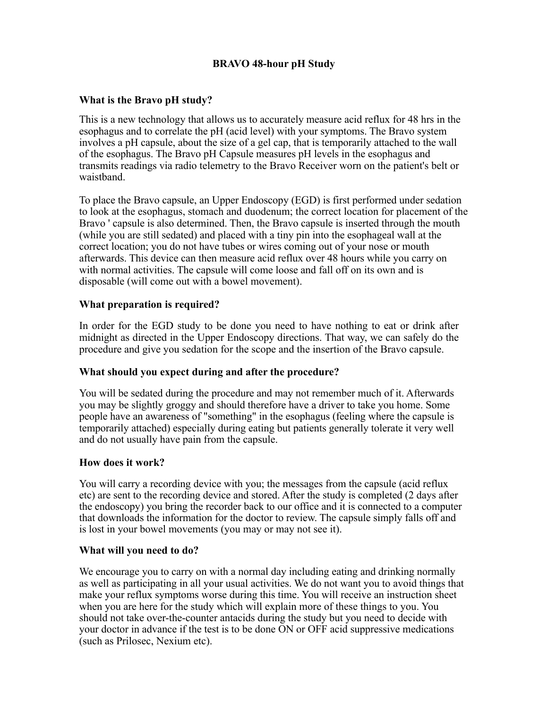# **BRAVO 48-hour pH Study**

## **What is the Bravo pH study?**

This is a new technology that allows us to accurately measure acid reflux for 48 hrs in the esophagus and to correlate the pH (acid level) with your symptoms. The Bravo system involves a pH capsule, about the size of a gel cap, that is temporarily attached to the wall of the esophagus. The Bravo pH Capsule measures pH levels in the esophagus and transmits readings via radio telemetry to the Bravo Receiver worn on the patient's belt or waistband.

To place the Bravo capsule, an Upper Endoscopy (EGD) is first performed under sedation to look at the esophagus, stomach and duodenum; the correct location for placement of the Bravo ' capsule is also determined. Then, the Bravo capsule is inserted through the mouth (while you are still sedated) and placed with a tiny pin into the esophageal wall at the correct location; you do not have tubes or wires coming out of your nose or mouth afterwards. This device can then measure acid reflux over 48 hours while you carry on with normal activities. The capsule will come loose and fall off on its own and is disposable (will come out with a bowel movement).

### **What preparation is required?**

In order for the EGD study to be done you need to have nothing to eat or drink after midnight as directed in the Upper Endoscopy directions. That way, we can safely do the procedure and give you sedation for the scope and the insertion of the Bravo capsule.

### **What should you expect during and after the procedure?**

You will be sedated during the procedure and may not remember much of it. Afterwards you may be slightly groggy and should therefore have a driver to take you home. Some people have an awareness of "something" in the esophagus (feeling where the capsule is temporarily attached) especially during eating but patients generally tolerate it very well and do not usually have pain from the capsule.

### **How does it work?**

You will carry a recording device with you; the messages from the capsule (acid reflux etc) are sent to the recording device and stored. After the study is completed (2 days after the endoscopy) you bring the recorder back to our office and it is connected to a computer that downloads the information for the doctor to review. The capsule simply falls off and is lost in your bowel movements (you may or may not see it).

### **What will you need to do?**

We encourage you to carry on with a normal day including eating and drinking normally as well as participating in all your usual activities. We do not want you to avoid things that make your reflux symptoms worse during this time. You will receive an instruction sheet when you are here for the study which will explain more of these things to you. You should not take over-the-counter antacids during the study but you need to decide with your doctor in advance if the test is to be done ON or OFF acid suppressive medications (such as Prilosec, Nexium etc).